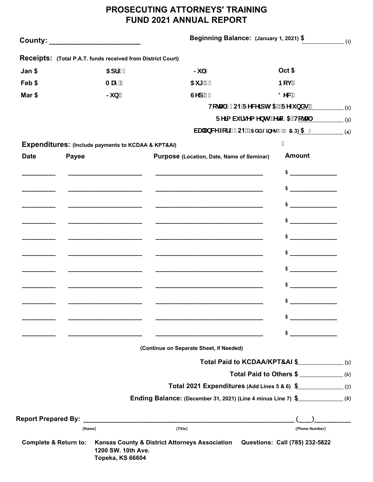## **PROSECUTING ATTORNEYS' TRAINING FUND 2021 ANNUAL REPORT**

|                                  | County: ________________________                            |                                               | Beginning Balance: (January 1, 2021) \$                                       |                                       | $\overline{\phantom{a}}$ (1) |
|----------------------------------|-------------------------------------------------------------|-----------------------------------------------|-------------------------------------------------------------------------------|---------------------------------------|------------------------------|
|                                  | Receipts: (Total P.A.T. funds received from District Court) |                                               |                                                                               |                                       |                              |
| Jan \$                           |                                                             | $5df$ "                                       | $\mathsf{S}$ i $\mathsf{S}$                                                   | Oct \$                                |                              |
| Feb \$                           |                                                             | A Um <sup>*</sup>                             | $5i$ [ $\degree$                                                              | Bcj                                   |                              |
| Mar \$                           |                                                             | $\mathsf{p}$ is b                             | GYd <sup>"</sup>                                                              | <b>8 YW</b>                           |                              |
|                                  |                                                             |                                               |                                                                               | HcHJ'&\$21 FYWY]dlg \$ FYZ bXgz $(2)$ |                              |
|                                  |                                                             |                                               |                                                                               | FY]a Vi fgYa YblgžYHW \$"HcHJ" (3)    |                              |
|                                  |                                                             |                                               | VUUbWYZcf'&\$21. f5 XX'@bYg'%z&& 3) \$ $(4)$                                  |                                       |                              |
|                                  | Expenditures: (Include payments to KCDAA & KPT&AI)          |                                               |                                                                               |                                       |                              |
| <b>Date</b>                      | Payee                                                       |                                               | Purpose (Location, Date, Name of Seminar)                                     | <b>Amount</b>                         |                              |
|                                  |                                                             |                                               |                                                                               | $\frac{1}{2}$                         |                              |
|                                  |                                                             |                                               |                                                                               | $\frac{1}{2}$                         |                              |
|                                  |                                                             |                                               |                                                                               | $\frac{1}{2}$                         |                              |
|                                  | __________________________                                  |                                               |                                                                               | $\frac{1}{2}$                         |                              |
|                                  | ———————————————————————                                     |                                               |                                                                               | $\frac{1}{2}$                         |                              |
|                                  |                                                             |                                               |                                                                               | $\ddot{\mathsf{s}}$                   |                              |
|                                  |                                                             |                                               |                                                                               | $\sharp$                              |                              |
|                                  |                                                             |                                               |                                                                               | $\sharp$                              |                              |
|                                  |                                                             |                                               |                                                                               | Ş                                     |                              |
|                                  |                                                             |                                               |                                                                               | $\sharp$ $\qquad \qquad$              |                              |
|                                  |                                                             |                                               |                                                                               | \$                                    |                              |
|                                  |                                                             |                                               | (Continue on Separate Sheet, if Needed)                                       |                                       |                              |
|                                  |                                                             |                                               | Total Paid to KCDAA/KPT&AI \$ (5)                                             |                                       |                              |
|                                  |                                                             |                                               |                                                                               | Total Paid to Others \$               | (6)                          |
|                                  |                                                             |                                               | Total 2021 Expenditures (Add Lines 5 & 6) \$ (7)                              |                                       |                              |
|                                  |                                                             |                                               | Ending Balance: (December 31, 2021) (Line 4 minus Line 7) \$                  |                                       | (8)                          |
|                                  |                                                             |                                               |                                                                               |                                       |                              |
|                                  | (Name)                                                      |                                               | (Title)                                                                       | (Phone Number)                        |                              |
| <b>Complete &amp; Return to:</b> |                                                             | 1200 SW. 10th Ave.<br><b>Topeka, KS 66604</b> | Kansas County & District Attorneys Association Questions: Call (785) 232-5822 |                                       |                              |